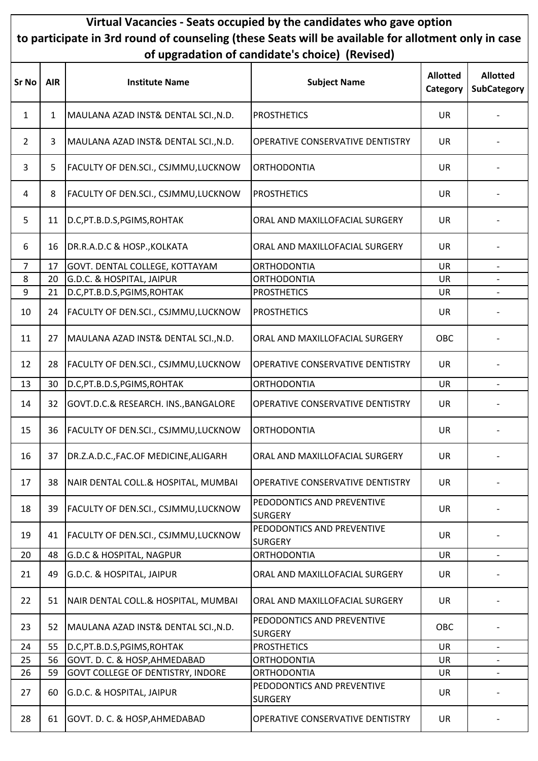## Virtual Vacancies - Seats occupied by the candidates who gave option to participate in 3rd round of counseling (these Seats will be available for allotment only in case of upgradation of candidate's choice) (Revised)

| <b>Sr No</b>   | <b>AIR</b> | <b>Institute Name</b>                      | <b>Subject Name</b>                          | <b>Allotted</b><br>Category | <b>Allotted</b><br><b>SubCategory</b> |
|----------------|------------|--------------------------------------------|----------------------------------------------|-----------------------------|---------------------------------------|
| $\mathbf{1}$   | 1          | MAULANA AZAD INST& DENTAL SCI., N.D.       | <b>PROSTHETICS</b>                           | <b>UR</b>                   |                                       |
| $\overline{2}$ | 3          | MAULANA AZAD INST& DENTAL SCI., N.D.       | OPERATIVE CONSERVATIVE DENTISTRY             | <b>UR</b>                   |                                       |
| 3              | 5          | FACULTY OF DEN.SCI., CSJMMU,LUCKNOW        | <b>ORTHODONTIA</b>                           | UR                          |                                       |
| 4              | 8          | FACULTY OF DEN.SCI., CSJMMU, LUCKNOW       | <b>PROSTHETICS</b>                           | <b>UR</b>                   |                                       |
| 5              | 11         | D.C, PT.B.D.S, PGIMS, ROHTAK               | ORAL AND MAXILLOFACIAL SURGERY               | <b>UR</b>                   |                                       |
| 6              | 16         | DR.R.A.D.C & HOSP., KOLKATA                | ORAL AND MAXILLOFACIAL SURGERY               | <b>UR</b>                   |                                       |
| 7              | 17         | GOVT. DENTAL COLLEGE, KOTTAYAM             | <b>ORTHODONTIA</b>                           | <b>UR</b>                   | $\overline{\phantom{a}}$              |
| 8              | 20         | G.D.C. & HOSPITAL, JAIPUR                  | <b>ORTHODONTIA</b>                           | <b>UR</b>                   |                                       |
| 9              | 21         | D.C, PT.B.D.S, PGIMS, ROHTAK               | <b>PROSTHETICS</b>                           | <b>UR</b>                   |                                       |
| 10             | 24         | FACULTY OF DEN.SCI., CSJMMU,LUCKNOW        | <b>PROSTHETICS</b>                           | <b>UR</b>                   |                                       |
| 11             | 27         | MAULANA AZAD INST& DENTAL SCI., N.D.       | ORAL AND MAXILLOFACIAL SURGERY               | OBC                         |                                       |
| 12             | 28         | FACULTY OF DEN.SCI., CSJMMU,LUCKNOW        | OPERATIVE CONSERVATIVE DENTISTRY             | <b>UR</b>                   |                                       |
| 13             | 30         | D.C, PT.B.D.S, PGIMS, ROHTAK               | ORTHODONTIA                                  | <b>UR</b>                   |                                       |
| 14             | 32         | GOVT.D.C.& RESEARCH. INS., BANGALORE       | OPERATIVE CONSERVATIVE DENTISTRY             | <b>UR</b>                   |                                       |
| 15             | 36         | FACULTY OF DEN.SCI., CSJMMU,LUCKNOW        | <b>ORTHODONTIA</b>                           | <b>UR</b>                   |                                       |
| 16             | 37         | DR.Z.A.D.C., FAC.OF MEDICINE, ALIGARH      | ORAL AND MAXILLOFACIAL SURGERY               | <b>UR</b>                   |                                       |
| 17             | 38         | NAIR DENTAL COLL.& HOSPITAL, MUMBAI        | OPERATIVE CONSERVATIVE DENTISTRY             | <b>UR</b>                   |                                       |
| 18             | 39         | FACULTY OF DEN.SCI., CSJMMU,LUCKNOW        | PEDODONTICS AND PREVENTIVE<br><b>SURGERY</b> | <b>UR</b>                   |                                       |
| 19             | 41         | <b>FACULTY OF DEN.SCI., CSJMMU,LUCKNOW</b> | PEDODONTICS AND PREVENTIVE<br><b>SURGERY</b> | <b>UR</b>                   |                                       |
| 20             | 48         | <b>G.D.C &amp; HOSPITAL, NAGPUR</b>        | <b>ORTHODONTIA</b>                           | <b>UR</b>                   | $\overline{\phantom{a}}$              |
| 21             | 49         | G.D.C. & HOSPITAL, JAIPUR                  | ORAL AND MAXILLOFACIAL SURGERY               | <b>UR</b>                   |                                       |
| 22             | 51         | NAIR DENTAL COLL.& HOSPITAL, MUMBAI        | ORAL AND MAXILLOFACIAL SURGERY               | <b>UR</b>                   |                                       |
| 23             | 52         | MAULANA AZAD INST& DENTAL SCI., N.D.       | PEDODONTICS AND PREVENTIVE<br><b>SURGERY</b> | OBC                         |                                       |
| 24             | 55         | D.C, PT.B.D.S, PGIMS, ROHTAK               | <b>PROSTHETICS</b>                           | <b>UR</b>                   | $\overline{\phantom{a}}$              |
| 25             | 56         | GOVT. D. C. & HOSP, AHMEDABAD              | <b>ORTHODONTIA</b>                           | <b>UR</b>                   |                                       |
| 26             | 59         | <b>GOVT COLLEGE OF DENTISTRY, INDORE</b>   | <b>ORTHODONTIA</b>                           | UR                          | $\overline{\phantom{a}}$              |
| 27             | 60         | G.D.C. & HOSPITAL, JAIPUR                  | PEDODONTICS AND PREVENTIVE<br><b>SURGERY</b> | <b>UR</b>                   |                                       |
| 28             | 61         | GOVT. D. C. & HOSP, AHMEDABAD              | OPERATIVE CONSERVATIVE DENTISTRY             | <b>UR</b>                   |                                       |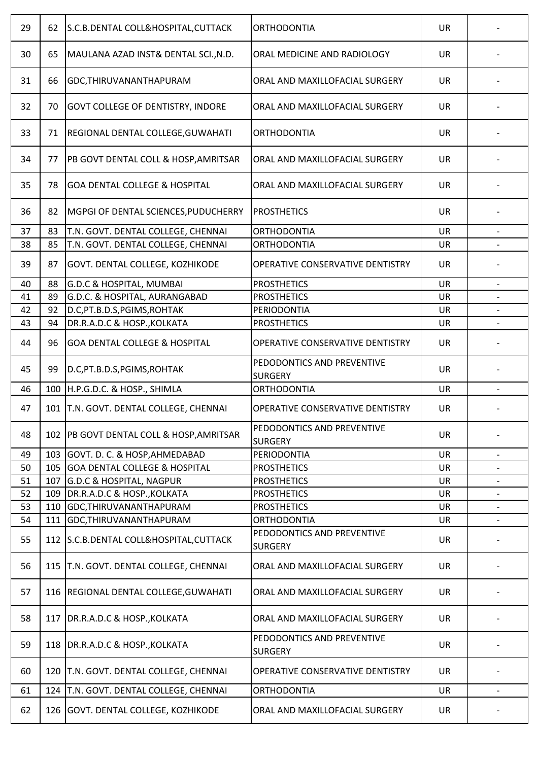| 29 | 62  | S.C.B.DENTAL COLL&HOSPITAL, CUTTACK      | <b>ORTHODONTIA</b>                           | <b>UR</b> |                          |
|----|-----|------------------------------------------|----------------------------------------------|-----------|--------------------------|
| 30 | 65  | MAULANA AZAD INST& DENTAL SCI., N.D.     | ORAL MEDICINE AND RADIOLOGY                  | <b>UR</b> |                          |
| 31 | 66  | GDC, THIRUVANANTHAPURAM                  | ORAL AND MAXILLOFACIAL SURGERY               | <b>UR</b> |                          |
| 32 | 70  | <b>GOVT COLLEGE OF DENTISTRY, INDORE</b> | ORAL AND MAXILLOFACIAL SURGERY               | <b>UR</b> |                          |
| 33 | 71  | REGIONAL DENTAL COLLEGE, GUWAHATI        | <b>ORTHODONTIA</b>                           | UR        |                          |
| 34 | 77  | PB GOVT DENTAL COLL & HOSP, AMRITSAR     | ORAL AND MAXILLOFACIAL SURGERY               | <b>UR</b> |                          |
| 35 | 78  | <b>GOA DENTAL COLLEGE &amp; HOSPITAL</b> | ORAL AND MAXILLOFACIAL SURGERY               | <b>UR</b> |                          |
| 36 | 82  | MGPGI OF DENTAL SCIENCES, PUDUCHERRY     | <b>PROSTHETICS</b>                           | UR        |                          |
| 37 | 83  | T.N. GOVT. DENTAL COLLEGE, CHENNAI       | <b>ORTHODONTIA</b>                           | <b>UR</b> |                          |
| 38 | 85  | T.N. GOVT. DENTAL COLLEGE, CHENNAI       | <b>ORTHODONTIA</b>                           | UR        |                          |
| 39 | 87  | <b>GOVT. DENTAL COLLEGE, KOZHIKODE</b>   | OPERATIVE CONSERVATIVE DENTISTRY             | <b>UR</b> |                          |
| 40 | 88  | G.D.C & HOSPITAL, MUMBAI                 | <b>PROSTHETICS</b>                           | <b>UR</b> | $\overline{\phantom{a}}$ |
| 41 | 89  | G.D.C. & HOSPITAL, AURANGABAD            | <b>PROSTHETICS</b>                           | UR        |                          |
| 42 | 92  | D.C, PT.B.D.S, PGIMS, ROHTAK             | PERIODONTIA                                  | UR        | $\overline{\phantom{a}}$ |
| 43 | 94  | DR.R.A.D.C & HOSP., KOLKATA              | <b>PROSTHETICS</b>                           | <b>UR</b> |                          |
|    |     |                                          |                                              |           |                          |
| 44 | 96  | <b>GOA DENTAL COLLEGE &amp; HOSPITAL</b> | OPERATIVE CONSERVATIVE DENTISTRY             | <b>UR</b> |                          |
| 45 | 99  | D.C, PT.B.D.S, PGIMS, ROHTAK             | PEDODONTICS AND PREVENTIVE<br><b>SURGERY</b> | <b>UR</b> |                          |
| 46 | 100 | H.P.G.D.C. & HOSP., SHIMLA               | <b>ORTHODONTIA</b>                           | <b>UR</b> |                          |
| 47 |     | 101   T.N. GOVT. DENTAL COLLEGE, CHENNAI | OPERATIVE CONSERVATIVE DENTISTRY             | UR        |                          |
| 48 | 102 | PB GOVT DENTAL COLL & HOSP, AMRITSAR     | PEDODONTICS AND PREVENTIVE<br><b>SURGERY</b> | UR        |                          |
| 49 | 103 | GOVT. D. C. & HOSP, AHMEDABAD            | PERIODONTIA                                  | <b>UR</b> |                          |
| 50 | 105 | <b>GOA DENTAL COLLEGE &amp; HOSPITAL</b> | <b>PROSTHETICS</b>                           | UR        | $\overline{\phantom{a}}$ |
| 51 | 107 | <b>G.D.C &amp; HOSPITAL, NAGPUR</b>      | <b>PROSTHETICS</b>                           | UR        |                          |
|    |     |                                          |                                              |           |                          |
| 52 | 109 | DR.R.A.D.C & HOSP., KOLKATA              | <b>PROSTHETICS</b>                           | UR        |                          |
| 53 | 110 | GDC, THIRUVANANTHAPURAM                  | <b>PROSTHETICS</b>                           | <b>UR</b> |                          |
| 54 | 111 | GDC, THIRUVANANTHAPURAM                  | ORTHODONTIA                                  | UR        |                          |
| 55 |     | 112 S.C.B.DENTAL COLL&HOSPITAL, CUTTACK  | PEDODONTICS AND PREVENTIVE<br><b>SURGERY</b> | UR        |                          |
| 56 | 115 | T.N. GOVT. DENTAL COLLEGE, CHENNAI       | ORAL AND MAXILLOFACIAL SURGERY               | <b>UR</b> |                          |
| 57 | 116 | <b>REGIONAL DENTAL COLLEGE, GUWAHATI</b> | ORAL AND MAXILLOFACIAL SURGERY               | UR        |                          |
| 58 | 117 | DR.R.A.D.C & HOSP., KOLKATA              | ORAL AND MAXILLOFACIAL SURGERY               | <b>UR</b> |                          |
| 59 | 118 | DR.R.A.D.C & HOSP., KOLKATA              | PEDODONTICS AND PREVENTIVE<br><b>SURGERY</b> | <b>UR</b> |                          |
| 60 | 120 | T.N. GOVT. DENTAL COLLEGE, CHENNAI       | OPERATIVE CONSERVATIVE DENTISTRY             | <b>UR</b> |                          |
| 61 | 124 | T.N. GOVT. DENTAL COLLEGE, CHENNAI       | <b>ORTHODONTIA</b>                           | <b>UR</b> | $\overline{\phantom{a}}$ |
| 62 |     | 126 GOVT. DENTAL COLLEGE, KOZHIKODE      | ORAL AND MAXILLOFACIAL SURGERY               | UR        |                          |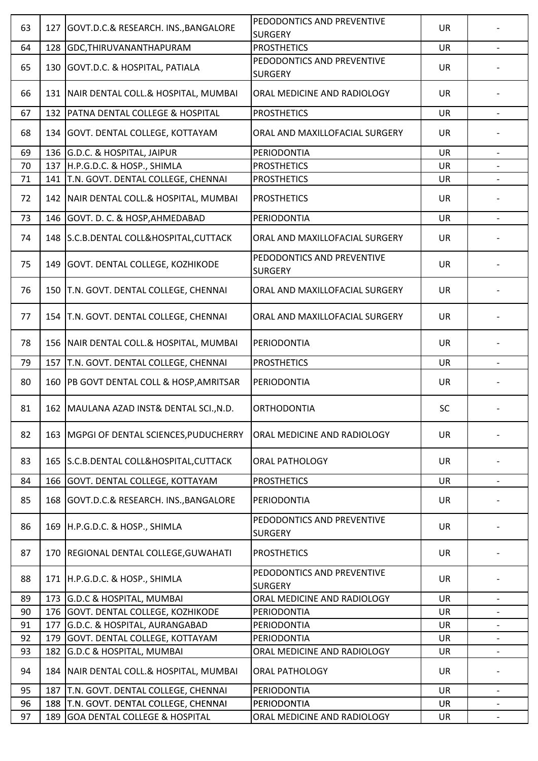| 63 | 127 | GOVT.D.C.& RESEARCH. INS., BANGALORE       | PEDODONTICS AND PREVENTIVE<br><b>SURGERY</b> | <b>UR</b> |                          |
|----|-----|--------------------------------------------|----------------------------------------------|-----------|--------------------------|
| 64 | 128 | GDC, THIRUVANANTHAPURAM                    | <b>PROSTHETICS</b>                           | <b>UR</b> |                          |
| 65 | 130 | GOVT.D.C. & HOSPITAL, PATIALA              | PEDODONTICS AND PREVENTIVE<br><b>SURGERY</b> | <b>UR</b> |                          |
| 66 | 131 | NAIR DENTAL COLL.& HOSPITAL, MUMBAI        | ORAL MEDICINE AND RADIOLOGY                  | <b>UR</b> |                          |
| 67 | 132 | <b>PATNA DENTAL COLLEGE &amp; HOSPITAL</b> | <b>PROSTHETICS</b>                           | <b>UR</b> |                          |
| 68 |     | 134 GOVT. DENTAL COLLEGE, KOTTAYAM         | ORAL AND MAXILLOFACIAL SURGERY               | <b>UR</b> |                          |
| 69 | 136 | G.D.C. & HOSPITAL, JAIPUR                  | PERIODONTIA                                  | <b>UR</b> | $\overline{\phantom{0}}$ |
| 70 | 137 | H.P.G.D.C. & HOSP., SHIMLA                 | <b>PROSTHETICS</b>                           | <b>UR</b> |                          |
| 71 | 141 | T.N. GOVT. DENTAL COLLEGE, CHENNAI         | <b>PROSTHETICS</b>                           | <b>UR</b> |                          |
| 72 |     | 142 NAIR DENTAL COLL.& HOSPITAL, MUMBAI    | <b>PROSTHETICS</b>                           | <b>UR</b> |                          |
| 73 |     | 146 GOVT. D. C. & HOSP, AHMEDABAD          | PERIODONTIA                                  | <b>UR</b> | $\overline{\phantom{a}}$ |
| 74 |     | 148 S.C.B.DENTAL COLL&HOSPITAL, CUTTACK    | ORAL AND MAXILLOFACIAL SURGERY               | <b>UR</b> |                          |
| 75 | 149 | GOVT. DENTAL COLLEGE, KOZHIKODE            | PEDODONTICS AND PREVENTIVE<br><b>SURGERY</b> | <b>UR</b> |                          |
| 76 |     | 150   T.N. GOVT. DENTAL COLLEGE, CHENNAI   | ORAL AND MAXILLOFACIAL SURGERY               | <b>UR</b> |                          |
| 77 |     | 154   T.N. GOVT. DENTAL COLLEGE, CHENNAI   | ORAL AND MAXILLOFACIAL SURGERY               | <b>UR</b> |                          |
| 78 | 156 | NAIR DENTAL COLL.& HOSPITAL, MUMBAI        | PERIODONTIA                                  | <b>UR</b> |                          |
| 79 | 157 | T.N. GOVT. DENTAL COLLEGE, CHENNAI         | <b>PROSTHETICS</b>                           | <b>UR</b> |                          |
| 80 | 160 | PB GOVT DENTAL COLL & HOSP, AMRITSAR       | PERIODONTIA                                  | <b>UR</b> |                          |
| 81 |     | 162 MAULANA AZAD INST& DENTAL SCI., N.D.   | <b>ORTHODONTIA</b>                           | SC        |                          |
| 82 | 163 | MGPGI OF DENTAL SCIENCES, PUDUCHERRY       | ORAL MEDICINE AND RADIOLOGY                  | <b>UR</b> |                          |
| 83 |     | 165 S.C.B.DENTAL COLL&HOSPITAL, CUTTACK    | <b>ORAL PATHOLOGY</b>                        | <b>UR</b> |                          |
| 84 | 166 | GOVT. DENTAL COLLEGE, KOTTAYAM             | <b>PROSTHETICS</b>                           | <b>UR</b> |                          |
| 85 | 168 | GOVT.D.C.& RESEARCH. INS., BANGALORE       | PERIODONTIA                                  | <b>UR</b> |                          |
| 86 | 169 | H.P.G.D.C. & HOSP., SHIMLA                 | PEDODONTICS AND PREVENTIVE<br><b>SURGERY</b> | <b>UR</b> |                          |
| 87 | 170 | REGIONAL DENTAL COLLEGE, GUWAHATI          | <b>PROSTHETICS</b>                           | <b>UR</b> |                          |
| 88 |     | 171 H.P.G.D.C. & HOSP., SHIMLA             | PEDODONTICS AND PREVENTIVE<br><b>SURGERY</b> | <b>UR</b> |                          |
| 89 | 173 | <b>G.D.C &amp; HOSPITAL, MUMBAI</b>        | ORAL MEDICINE AND RADIOLOGY                  | <b>UR</b> | $\overline{\phantom{a}}$ |
| 90 |     | 176 GOVT. DENTAL COLLEGE, KOZHIKODE        | PERIODONTIA                                  | <b>UR</b> |                          |
| 91 | 177 | G.D.C. & HOSPITAL, AURANGABAD              | PERIODONTIA                                  | <b>UR</b> | $\overline{\phantom{a}}$ |
| 92 | 179 | GOVT. DENTAL COLLEGE, KOTTAYAM             | PERIODONTIA                                  | <b>UR</b> |                          |
| 93 | 182 | G.D.C & HOSPITAL, MUMBAI                   | ORAL MEDICINE AND RADIOLOGY                  | <b>UR</b> | $\overline{\phantom{a}}$ |
| 94 | 184 | NAIR DENTAL COLL.& HOSPITAL, MUMBAI        | <b>ORAL PATHOLOGY</b>                        | <b>UR</b> |                          |
| 95 | 187 | T.N. GOVT. DENTAL COLLEGE, CHENNAI         | PERIODONTIA                                  | <b>UR</b> | $\overline{\phantom{a}}$ |
| 96 | 188 | T.N. GOVT. DENTAL COLLEGE, CHENNAI         | PERIODONTIA                                  | <b>UR</b> |                          |
| 97 | 189 | <b>GOA DENTAL COLLEGE &amp; HOSPITAL</b>   | ORAL MEDICINE AND RADIOLOGY                  | <b>UR</b> | $\overline{\phantom{a}}$ |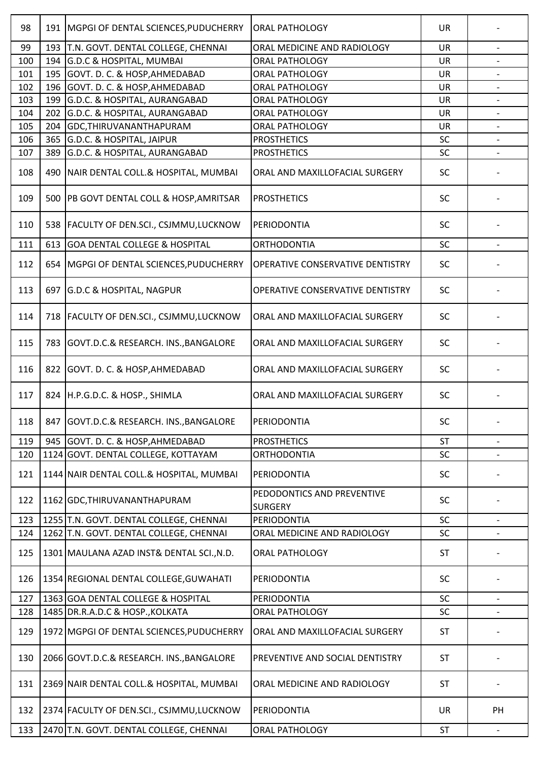| 98  | 191 | MGPGI OF DENTAL SCIENCES, PUDUCHERRY       | <b>ORAL PATHOLOGY</b>                        | <b>UR</b> |                          |
|-----|-----|--------------------------------------------|----------------------------------------------|-----------|--------------------------|
| 99  | 193 | T.N. GOVT. DENTAL COLLEGE, CHENNAI         | ORAL MEDICINE AND RADIOLOGY                  | UR        |                          |
| 100 | 194 | <b>G.D.C &amp; HOSPITAL, MUMBAI</b>        | <b>ORAL PATHOLOGY</b>                        | <b>UR</b> |                          |
| 101 | 195 | GOVT. D. C. & HOSP, AHMEDABAD              | <b>ORAL PATHOLOGY</b>                        | <b>UR</b> |                          |
| 102 | 196 | GOVT. D. C. & HOSP, AHMEDABAD              | <b>ORAL PATHOLOGY</b>                        | UR        |                          |
| 103 | 199 | G.D.C. & HOSPITAL, AURANGABAD              | ORAL PATHOLOGY                               | <b>UR</b> |                          |
| 104 | 202 | G.D.C. & HOSPITAL, AURANGABAD              | ORAL PATHOLOGY                               | <b>UR</b> | $\overline{\phantom{a}}$ |
| 105 | 204 | GDC, THIRUVANANTHAPURAM                    | <b>ORAL PATHOLOGY</b>                        | UR        |                          |
| 106 |     | 365 G.D.C. & HOSPITAL, JAIPUR              | <b>PROSTHETICS</b>                           | SC        |                          |
| 107 | 389 | G.D.C. & HOSPITAL, AURANGABAD              | <b>PROSTHETICS</b>                           | SC        | $\overline{\phantom{a}}$ |
| 108 | 490 | NAIR DENTAL COLL.& HOSPITAL, MUMBAI        | ORAL AND MAXILLOFACIAL SURGERY               | SC        |                          |
| 109 | 500 | PB GOVT DENTAL COLL & HOSP, AMRITSAR       | <b>PROSTHETICS</b>                           | <b>SC</b> |                          |
| 110 | 538 | <b>FACULTY OF DEN.SCI., CSJMMU,LUCKNOW</b> | PERIODONTIA                                  | <b>SC</b> |                          |
| 111 | 613 | <b>GOA DENTAL COLLEGE &amp; HOSPITAL</b>   | <b>ORTHODONTIA</b>                           | SC        | $\overline{\phantom{0}}$ |
| 112 | 654 | MGPGI OF DENTAL SCIENCES, PUDUCHERRY       | OPERATIVE CONSERVATIVE DENTISTRY             | <b>SC</b> |                          |
| 113 | 697 | <b>G.D.C &amp; HOSPITAL, NAGPUR</b>        | OPERATIVE CONSERVATIVE DENTISTRY             | <b>SC</b> |                          |
| 114 | 718 | FACULTY OF DEN.SCI., CSJMMU,LUCKNOW        | ORAL AND MAXILLOFACIAL SURGERY               | <b>SC</b> |                          |
| 115 | 783 | GOVT.D.C.& RESEARCH. INS., BANGALORE       | ORAL AND MAXILLOFACIAL SURGERY               | <b>SC</b> |                          |
| 116 |     | 822 GOVT. D. C. & HOSP, AHMEDABAD          | ORAL AND MAXILLOFACIAL SURGERY               | SC        |                          |
| 117 | 824 | H.P.G.D.C. & HOSP., SHIMLA                 | ORAL AND MAXILLOFACIAL SURGERY               | SC        |                          |
| 118 |     | 847 GOVT.D.C.& RESEARCH. INS., BANGALORE   | PERIODONTIA                                  | SC        |                          |
| 119 | 945 | GOVT. D. C. & HOSP, AHMEDABAD              | <b>PROSTHETICS</b>                           | <b>ST</b> |                          |
| 120 |     | 1124 GOVT. DENTAL COLLEGE, KOTTAYAM        | <b>ORTHODONTIA</b>                           | SC        |                          |
| 121 |     | 1144 NAIR DENTAL COLL.& HOSPITAL, MUMBAI   | PERIODONTIA                                  | SC        |                          |
| 122 |     | 1162 GDC, THIRUVANANTHAPURAM               | PEDODONTICS AND PREVENTIVE<br><b>SURGERY</b> | SC        |                          |
| 123 |     | 1255 T.N. GOVT. DENTAL COLLEGE, CHENNAI    | PERIODONTIA                                  | <b>SC</b> | $\overline{\phantom{a}}$ |
| 124 |     | 1262 T.N. GOVT. DENTAL COLLEGE, CHENNAI    | ORAL MEDICINE AND RADIOLOGY                  | SC        |                          |
| 125 |     | 1301 MAULANA AZAD INST& DENTAL SCI., N.D.  | <b>ORAL PATHOLOGY</b>                        | <b>ST</b> |                          |
| 126 |     | 1354 REGIONAL DENTAL COLLEGE, GUWAHATI     | PERIODONTIA                                  | <b>SC</b> |                          |
| 127 |     | 1363 GOA DENTAL COLLEGE & HOSPITAL         | PERIODONTIA                                  | SC        |                          |
| 128 |     | 1485 DR.R.A.D.C & HOSP., KOLKATA           | <b>ORAL PATHOLOGY</b>                        | SC        |                          |
| 129 |     | 1972 MGPGI OF DENTAL SCIENCES, PUDUCHERRY  | ORAL AND MAXILLOFACIAL SURGERY               | <b>ST</b> |                          |
| 130 |     | 2066 GOVT.D.C.& RESEARCH. INS., BANGALORE  | PREVENTIVE AND SOCIAL DENTISTRY              | <b>ST</b> |                          |
| 131 |     | 2369 NAIR DENTAL COLL.& HOSPITAL, MUMBAI   | ORAL MEDICINE AND RADIOLOGY                  | <b>ST</b> |                          |
| 132 |     | 2374 FACULTY OF DEN.SCI., CSJMMU, LUCKNOW  | PERIODONTIA                                  | UR        | PH                       |
| 133 |     | 2470 T.N. GOVT. DENTAL COLLEGE, CHENNAI    | <b>ORAL PATHOLOGY</b>                        | <b>ST</b> |                          |